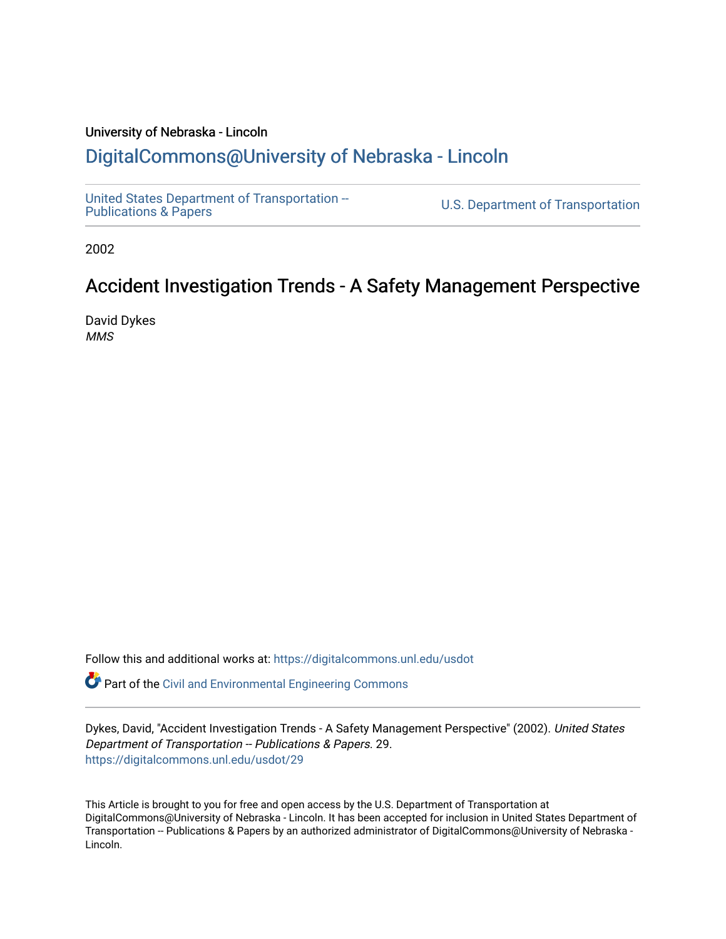#### University of Nebraska - Lincoln [DigitalCommons@University of Nebraska - Lincoln](https://digitalcommons.unl.edu/)

[United States Department of Transportation --](https://digitalcommons.unl.edu/usdot)<br>Publications & Papers

U.S. Department of Transportation

2002

#### Accident Investigation Trends - A Safety Management Perspective

David Dykes MMS

Follow this and additional works at: [https://digitalcommons.unl.edu/usdot](https://digitalcommons.unl.edu/usdot?utm_source=digitalcommons.unl.edu%2Fusdot%2F29&utm_medium=PDF&utm_campaign=PDFCoverPages) 

**P** Part of the [Civil and Environmental Engineering Commons](http://network.bepress.com/hgg/discipline/251?utm_source=digitalcommons.unl.edu%2Fusdot%2F29&utm_medium=PDF&utm_campaign=PDFCoverPages)

Dykes, David, "Accident Investigation Trends - A Safety Management Perspective" (2002). United States Department of Transportation -- Publications & Papers. 29. [https://digitalcommons.unl.edu/usdot/29](https://digitalcommons.unl.edu/usdot/29?utm_source=digitalcommons.unl.edu%2Fusdot%2F29&utm_medium=PDF&utm_campaign=PDFCoverPages)

This Article is brought to you for free and open access by the U.S. Department of Transportation at DigitalCommons@University of Nebraska - Lincoln. It has been accepted for inclusion in United States Department of Transportation -- Publications & Papers by an authorized administrator of DigitalCommons@University of Nebraska -Lincoln.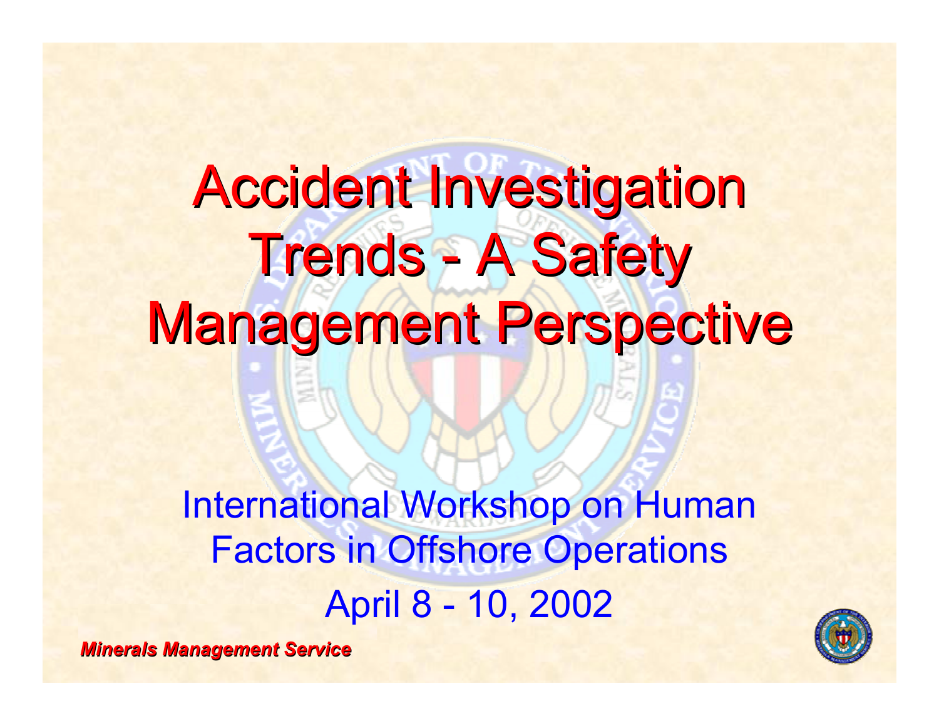## **Accident Investigation Trends - A Safety Management Perspective**

International Workshop on Human Factors in Offshore Operations April 8 - 10, 2002

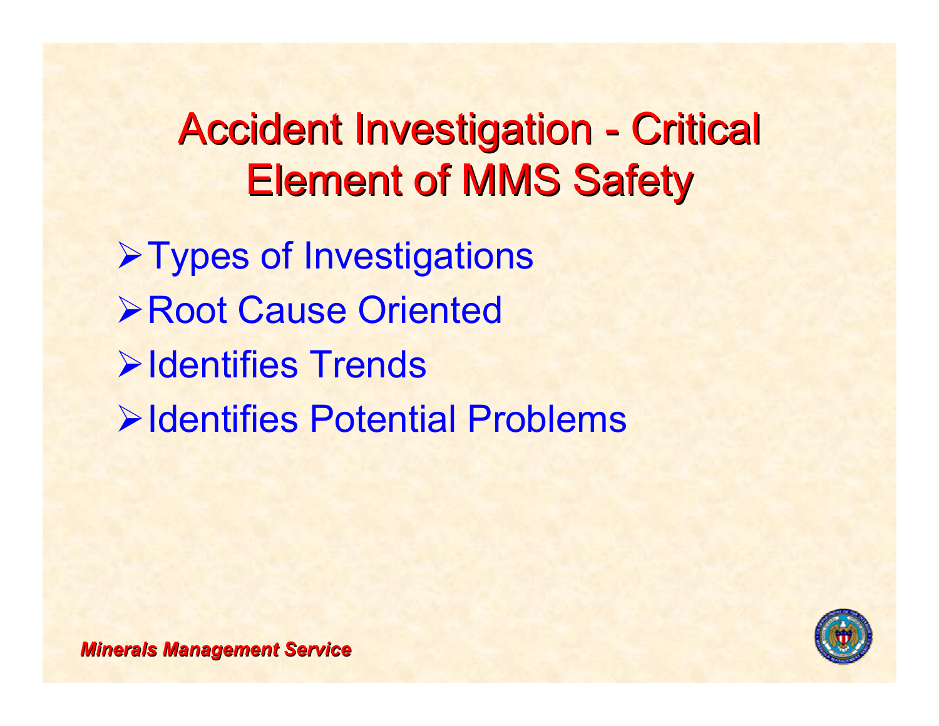### **Accident Investigation - Critical Element of MMS Safety**

**≻Types of Investigations** ¾Root Cause Oriented**≻Identifies Trends ≻Identifies Potential Problems** 

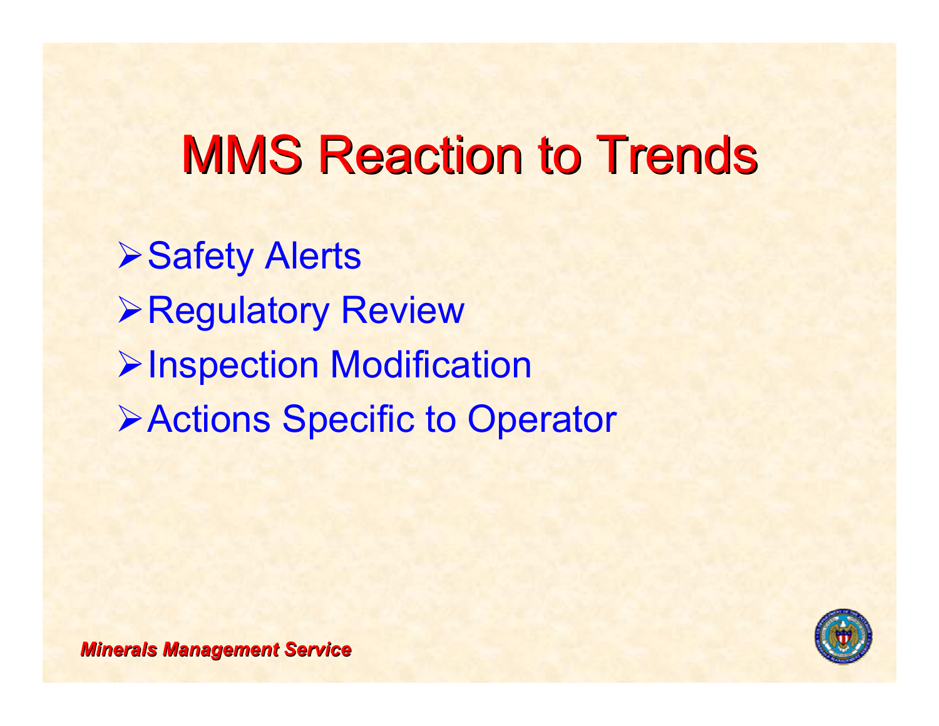## **MMS Reaction to Trends**

**≻Safety Alerts** ¾Regulatory Review ¾Inspection Modification ¾Actions Specific to Operator

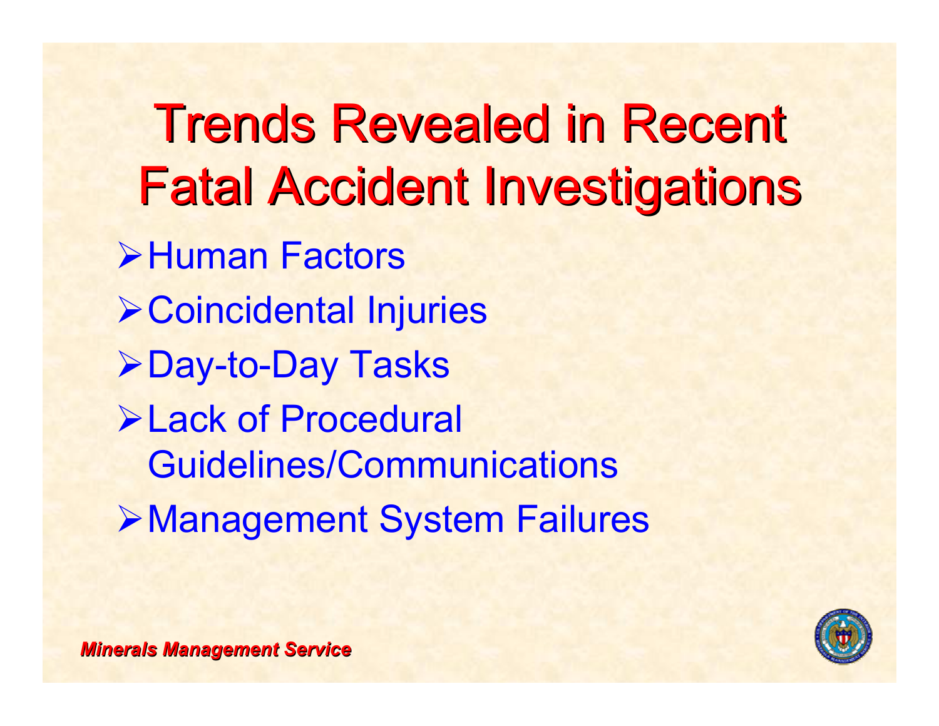**Trends Revealed in Recent Fatal Accident Investigations** ¾Human Factors¾Coincidental Injuries ¾Day-to-Day Tasks ¾Lack of Procedural Guidelines/Communications¾Management System Failures

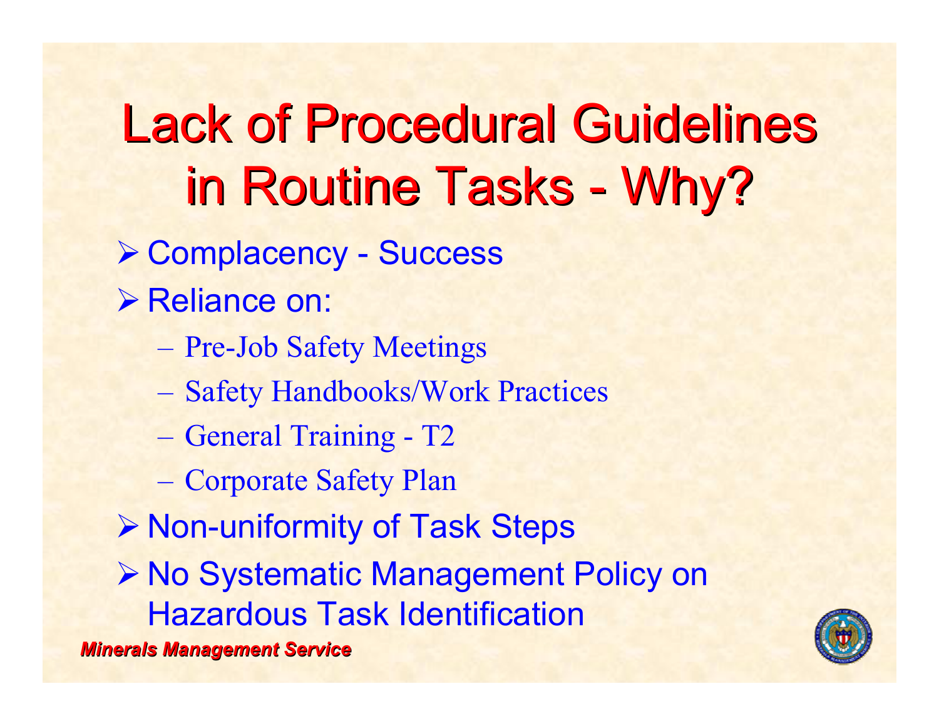**Lack of Procedural Guidelines** in Routine Tasks - Why?

- ¾ Complacency Success
- **≻ Reliance on:** 
	- Pre-Job Safety Meetings
	- Safety Handbooks/Work Practices
	- General Training T2
	- Corporate Safety Plan
- ¾ Non-uniformity of Task Steps

¾ No Systematic Management Policy on Hazardous Task Identification

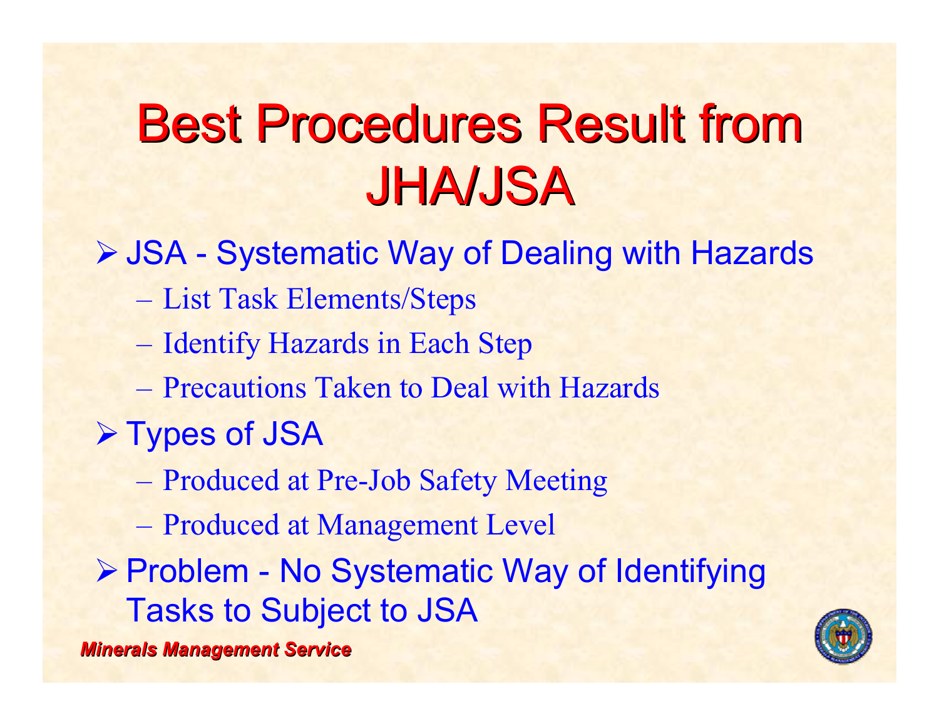## **Best Procedures Result from** JHA/JSA JHA/JSA

¾ JSA - Systematic Way of Dealing with Hazards

- List Task Elements/Steps
- Identify Hazards in Each Step
- Precautions Taken to Deal with Hazards
- ¾ Types of JSA
	- Produced at Pre-Job Safety Meeting
	- Produced at Management Level

¾ Problem - No Systematic Way of Identifying Tasks to Subject to JSA

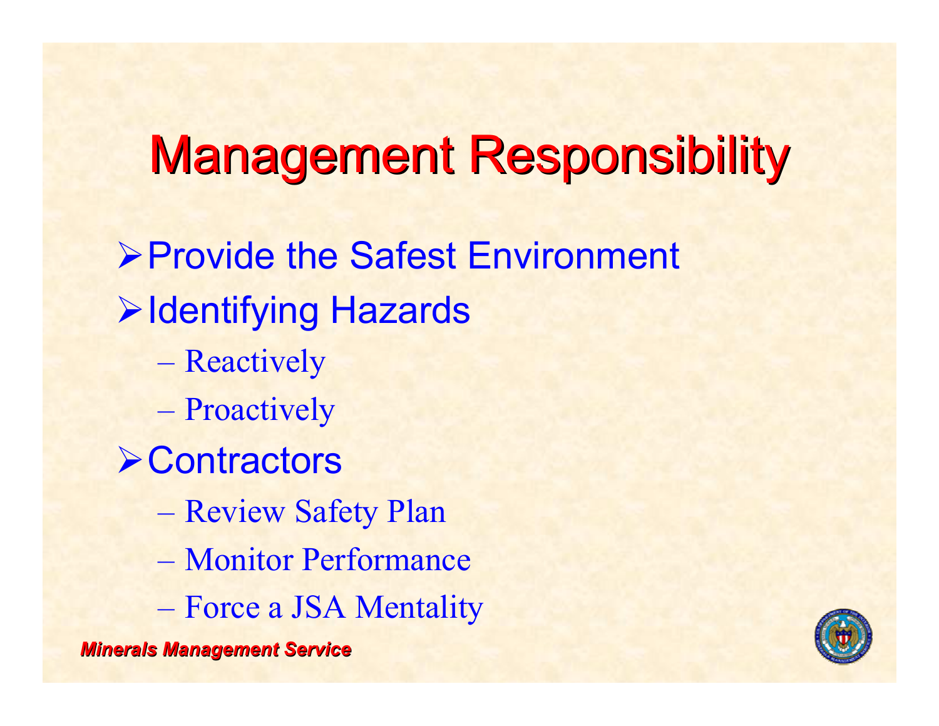## **Management Responsibility**

*Minerals Management Service Minerals Management Service* ¾Provide the Safest Environment **≻Identifying Hazards** – Reactively – Proactively **≻Contractors**  Review Safety Plan – Monitor Performance Force a JSA Mentality

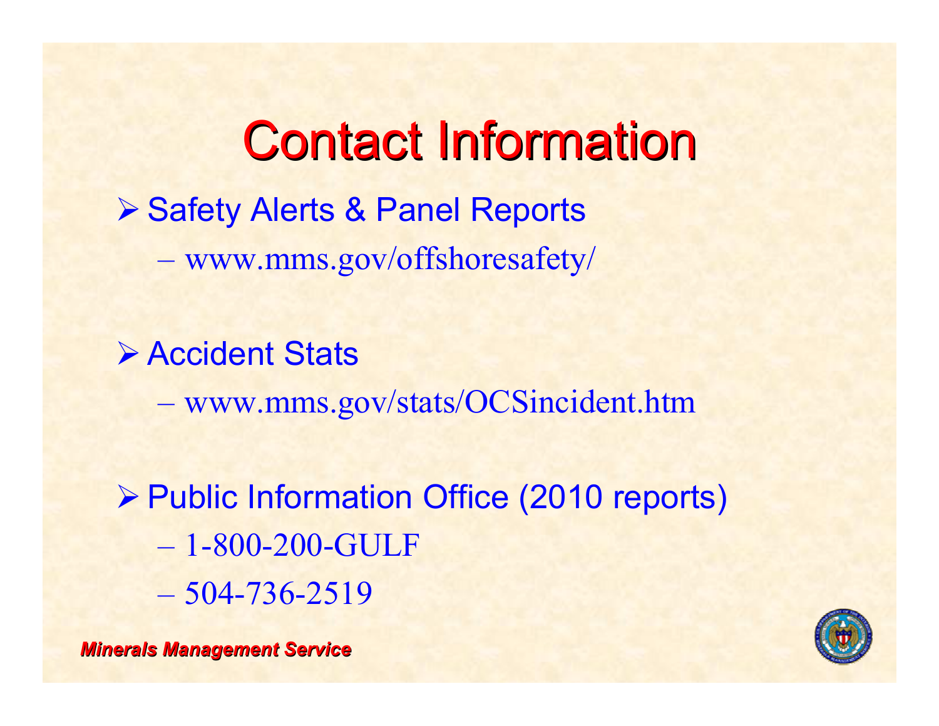**Contact Information ▶ Safety Alerts & Panel Reports** www.mms.gov/offshoresafety/

¾ Accident Stats

www.mms.gov/stats/OCSincident.htm

¾ Public Information Office (2010 reports) – 1-800-200-GULF – 504-736-2519



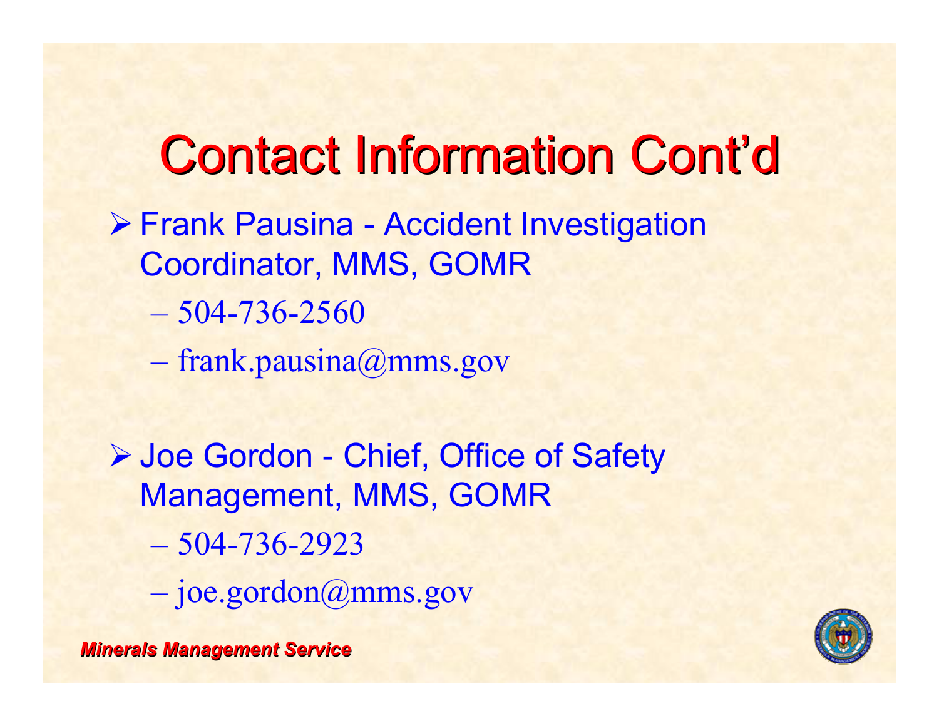## **Contact Information Cont'd**

- ¾ Frank Pausina Accident Investigation Coordinator, MMS, GOMR
	- 504-736-2560
	- frank.pausina@mms.gov
- ¾ Joe Gordon Chief, Office of Safety Management, MMS, GOMR
	- 504-736-2923
	- joe.gordon@mms.gov

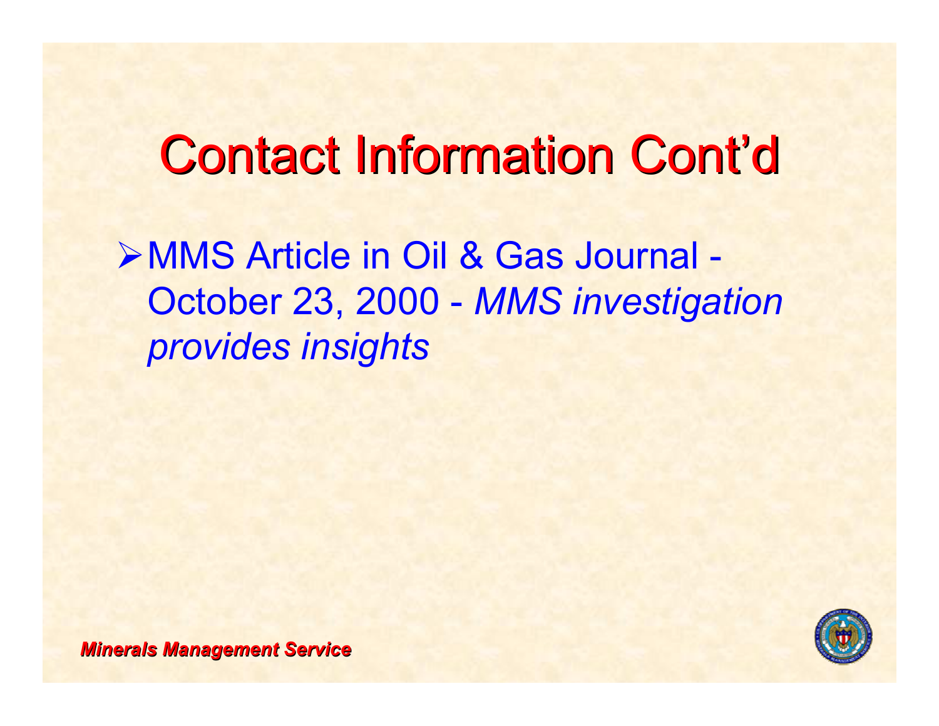### **Contact Information Cont'd**

¾MMS Article in Oil & Gas Journal - October 23, 2000 - *MMS investigation provides insights*